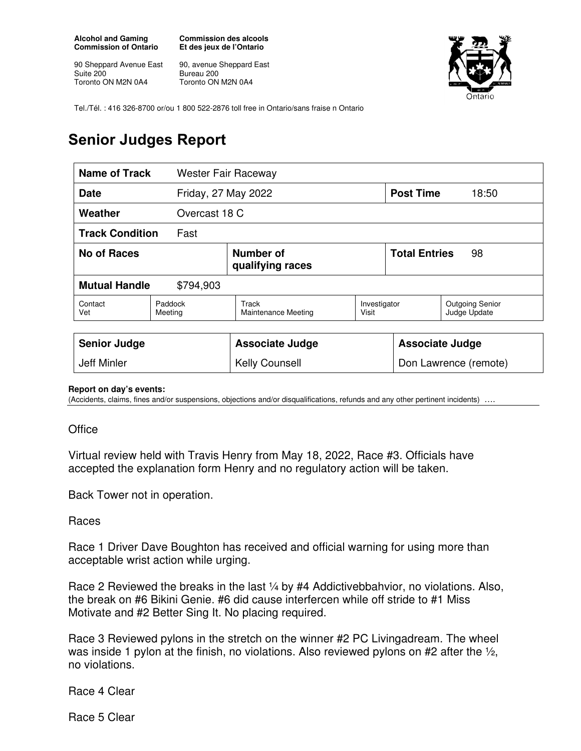**Alcohol and Gaming Commission of Ontario** 

90 Sheppard Avenue East Suite 200 Toronto ON M2N 0A4

**Commission des alcools Et des jeux de l'Ontario** 

90, avenue Sheppard East Bureau 200 Toronto ON M2N 0A4



Tel./Tél. : 416 326-8700 or/ou 1 800 522-2876 toll free in Ontario/sans fraise n Ontario

## **Senior Judges Report**

| Name of Track                      |                    | <b>Wester Fair Raceway</b>          |                       |                            |                                        |
|------------------------------------|--------------------|-------------------------------------|-----------------------|----------------------------|----------------------------------------|
| Friday, 27 May 2022<br><b>Date</b> |                    |                                     |                       | <b>Post Time</b>           | 18:50                                  |
| Weather                            |                    | Overcast 18 C                       |                       |                            |                                        |
| <b>Track Condition</b><br>Fast     |                    |                                     |                       |                            |                                        |
| No of Races                        |                    | Number of<br>qualifying races       |                       | <b>Total Entries</b><br>98 |                                        |
| <b>Mutual Handle</b><br>\$794,903  |                    |                                     |                       |                            |                                        |
| Contact<br>Vet                     | Paddock<br>Meeting | Track<br><b>Maintenance Meeting</b> | Investigator<br>Visit |                            | <b>Outgoing Senior</b><br>Judge Update |
|                                    |                    |                                     |                       |                            |                                        |
| <b>Senior Judge</b>                |                    | <b>Associate Judge</b>              |                       | <b>Associate Judge</b>     |                                        |
| <b>Jeff Minler</b>                 |                    | <b>Kelly Counsell</b>               |                       | Don Lawrence (remote)      |                                        |

## **Report on day's events:**

(Accidents, claims, fines and/or suspensions, objections and/or disqualifications, refunds and any other pertinent incidents)

## **Office**

Virtual review held with Travis Henry from May 18, 2022, Race #3. Officials have accepted the explanation form Henry and no regulatory action will be taken.

Back Tower not in operation.

Races

Race 1 Driver Dave Boughton has received and official warning for using more than acceptable wrist action while urging.

Race 2 Reviewed the breaks in the last 1/4 by #4 Addictivebbahvior, no violations. Also, the break on #6 Bikini Genie. #6 did cause interfercen while off stride to #1 Miss Motivate and #2 Better Sing It. No placing required.

Race 3 Reviewed pylons in the stretch on the winner #2 PC Livingadream. The wheel was inside 1 pylon at the finish, no violations. Also reviewed pylons on #2 after the  $\frac{1}{2}$ , no violations.

Race 4 Clear

Race 5 Clear